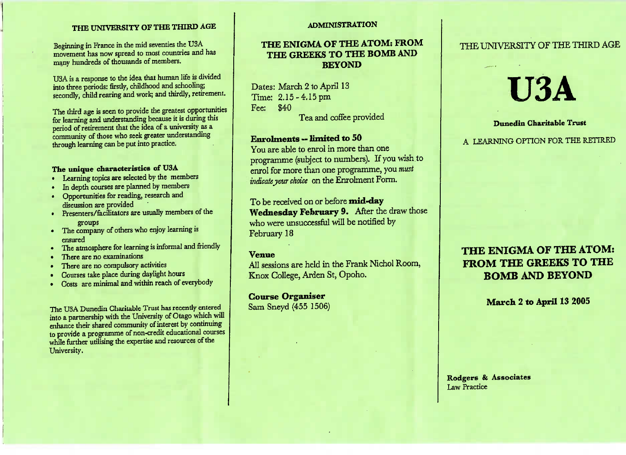### **THE UNIVERSITY OF THE THIRD AGE**

Beginning in France in the mid seventies the USA movement has now spread to most countries and hasmany hundreds of thousands of members.

USA is a response to the idea that human life is dividedinto three periods: firstly, childhood and schooling;condly, child rearing and work; and thirdly, retirement.

The third age is seen to provide the greatest opportunitiesfor learning and understanding because it is during thisperiod of retirement that the idea of a university as acommunity of those who seek greater understandingthrough learning can be put into practice.

### **The unique characteristics of USA**

- Learning topics are selected by the members
- In depth courses are planned by members
- Opportunities for reading, research anddiscussion are provided
- Presenters/facilitators are usually members of the
- groups The company of others who enjoy learning isensured
- The atmosphere for learning is informal and friendly
- There are no examinations
- There are no compulsory activities
- Courses take place during daylight hours
- Costs are minimal and within reach of everybody

The USA Dunedin Charitable Trust has recently enterednto a partnership with the University of Otago which will enhance their shared community of interest by continuing to provide a programme of non-credit educational courseswhile further utilising the expertise and resources of theUniversity.

### **ADMINISTRATION**

### THE ENIGMA OF THE ATOM: FROM **THE ENIGMA OF THE ATOM: FROMTHE GREEKS TO THE BOMB ANDBEYOND**

ates: Ividitat 2 to April 13  $T = 2.15 - 4.15$  pm Fee: S40Tea and coffee provided

### **Enrolments — limited to 50**

You are able to enrol in more than one Fou are able to enrol in more than one enrol for more than one programme, you *mustindicateyour choice* on the Enrolment Form.

**Vednesday February 9.** After the draw those who were unsuccessful will be notified byFebruary 18

**Venue** All sessions are held in the Frank Nichol Room,Knox College, Arden St, Opoho.

**Course Organiser** Sam Sneyd (455 1506)

### THE UNIVERSITY OF THE THIRD AGE

# **U3A**

**Dunedin Charitable Trust** 

A LEARNING OPTION FOR THE RETIRED

# **THE ENIGMA OF THE ATOM:BOMB AND BEYOND BOMB AND BEYOND**

March 2 to April 13 2005 **March 2 to April 13 2005**

Rodgers & Associates Law Practice